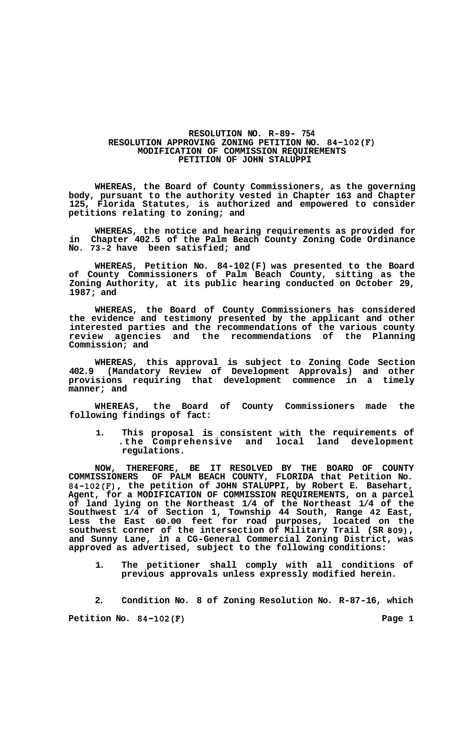## **RESOLUTION NO. R-89- 754 RESOLUTION APPROVING ZONING PETITION NO. 84-102(F) MODIFICATION OF COMMISSION REQUIREMENTS PETITION OF JOHN STALUPPI**

**WHEREAS, the Board of County Commissioners, as the governing body, pursuant to the authority vested in Chapter 163 and Chapter 125, Florida Statutes, is authorized and empowered to consider petitions relating to zoning; and** 

**WHEREAS, the notice and hearing requirements as provided for in Chapter 402.5 of the Palm Beach County Zoning Code Ordinance No. 73-2 have been satisfied; and** 

**WHEREAS, Petition No. 84-102 (F) was presented to the Board of County Commissioners of Palm Beach County, sitting as the Zoning Authority, at its public hearing conducted on October 29, 1987; and** 

**WHEREAS, the Board of County Commissioners has considered the evidence and testimony presented by the applicant and other interested parties and the recommendations of the various county review agencies and the recommendations of the Planning Commission; and** 

WHEREAS, this approval is subject to Zoning Code Section 402.9 (Mandatory Review of Development Approvals) and other (Mandatory Review of Development Approvals) and other **provisions requiring that development commence in a timely manner; and** 

**WHEREAS, the Board of County Commissioners made the following findings of fact:** 

**1. This proposal is consistent with the requirements of .the Comprehensive and local land development regulations.** 

**NOW, THEREFORE, BE IT RESOLVED BY THE BOARD OF COUNTY COMMISSIONERS OF PALM BEACH COUNTY, FLORIDA that Petition No. 84-102(F), the petition of JOHN STALUPPI, by Robert E. Basehart, Agent, for a MODIFICATION OF COMMISSION REQUIREMENTS, on a parcel of land lying on the Northeast 1/4 of the Northeast 1/4 of the Southwest 1/4 of Section 1, Township 44 South, Range 42 East, Less the East 60.00 feet for road purposes, located on the southwest corner of the intersection of Military Trail (SR 809), and Sunny Lane, in a CG-General Commercial Zoning District, was approved as advertised, subject to the following conditions:** 

**1. The petitioner shall comply with all conditions of previous approvals unless expressly modified herein.** 

**2. Condition No. 8 of Zoning Resolution No. R-87-16, which**  Petition No. 84-102(F) Page 1 and Page 1 and Page 1 and Page 1 and Page 1 and Page 1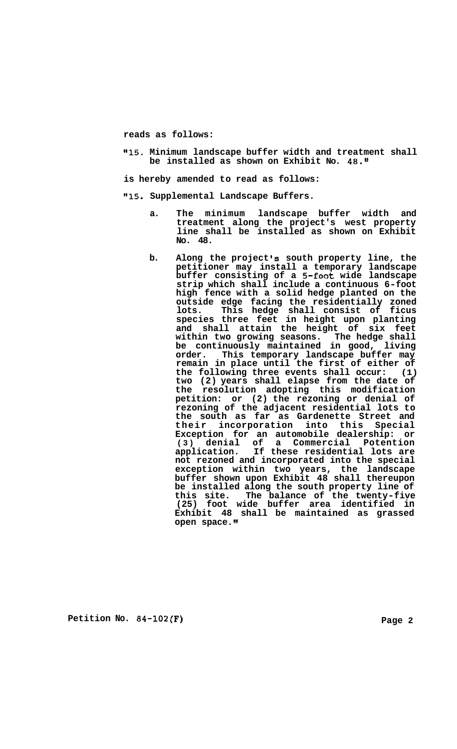**reads as follows:** 

**Il15. Minimum landscape buffer width and treatment shall be installed as shown on Exhibit No. 48."** 

**is hereby amended to read as follows:** 

**"15. Supplemental Landscape Buffers.** 

- **a. The minimum landscape buffer width and treatment along the project's west property line shall be installed as shown on Exhibit No. 48.**
- **b. Along the project 's south property line, the petitioner may install a temporary landscape buffer consisting of a 5-fOOt wide landscape strip which shall include a continuous 6-foot high fence with a solid hedge planted on the outside edge facing the residentially zoned species three feet in height upon planting and shall attain the height of six feet within two growing seasons. The hedge shall be continuously maintained in good, living order. This temporary landscape buffer may remain in place until the first of either of the following three events shall occur: (1) two (2) years shall elapse from the date of the resolution adopting this modification petition: or (2) the rezoning or denial of rezoning of the adjacent residential lots to the south as far as Gardenette Street and their incorporation into this Special Exception for an automobile dealership: or (3) denial of a Commercial Potention application. If these residential lots are not rezoned and incorporated into the special exception within two years, the landscape buffer shown upon Exhibit 48 shall thereupon be installed along the south property line of this site. The balance of the twenty-five (25) foot wide buffer area identified in Exhibit 48 shall be maintained as grassed open space. lots. This hedge shall consist of ficus**

**Petition No. 84-102(F)** Page 2